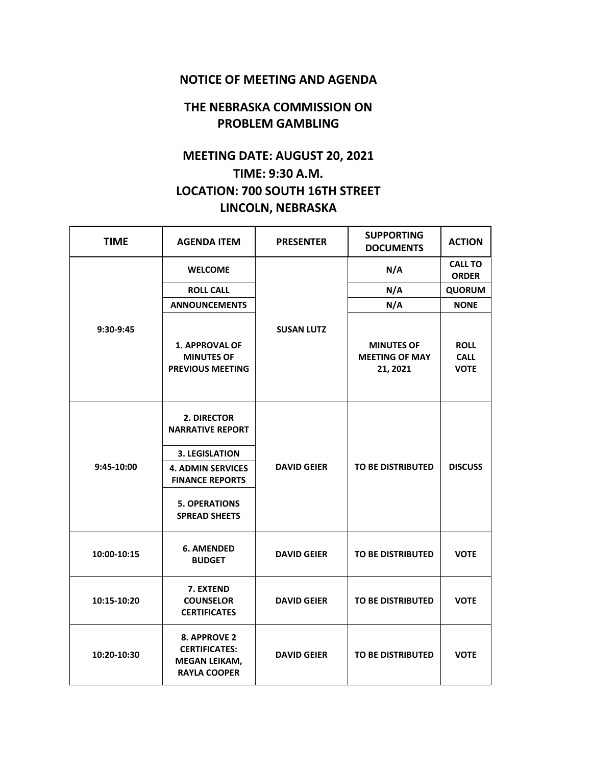## **NOTICE OF MEETING AND AGENDA**

## **THE NEBRASKA COMMISSION ON PROBLEM GAMBLING**

## **MEETING DATE: AUGUST 20, 2021 TIME: 9:30 A.M. LOCATION: 700 SOUTH 16TH STREET LINCOLN, NEBRASKA**

| <b>TIME</b> | <b>AGENDA ITEM</b>                                                                                                                                                    | <b>PRESENTER</b>   | <b>SUPPORTING</b><br><b>DOCUMENTS</b>                  | <b>ACTION</b>                             |
|-------------|-----------------------------------------------------------------------------------------------------------------------------------------------------------------------|--------------------|--------------------------------------------------------|-------------------------------------------|
| 9:30-9:45   | <b>WELCOME</b>                                                                                                                                                        | <b>SUSAN LUTZ</b>  | N/A                                                    | <b>CALL TO</b><br><b>ORDER</b>            |
|             | <b>ROLL CALL</b>                                                                                                                                                      |                    | N/A                                                    | <b>QUORUM</b>                             |
|             | <b>ANNOUNCEMENTS</b>                                                                                                                                                  |                    | N/A                                                    | <b>NONE</b>                               |
|             | <b>1. APPROVAL OF</b><br><b>MINUTES OF</b><br><b>PREVIOUS MEETING</b>                                                                                                 |                    | <b>MINUTES OF</b><br><b>MEETING OF MAY</b><br>21, 2021 | <b>ROLL</b><br><b>CALL</b><br><b>VOTE</b> |
| 9:45-10:00  | 2. DIRECTOR<br><b>NARRATIVE REPORT</b><br><b>3. LEGISLATION</b><br><b>4. ADMIN SERVICES</b><br><b>FINANCE REPORTS</b><br><b>5. OPERATIONS</b><br><b>SPREAD SHEETS</b> | <b>DAVID GEIER</b> | <b>TO BE DISTRIBUTED</b>                               | <b>DISCUSS</b>                            |
| 10:00-10:15 | <b>6. AMENDED</b><br><b>BUDGET</b>                                                                                                                                    | <b>DAVID GEIER</b> | TO BE DISTRIBUTED                                      | <b>VOTE</b>                               |
| 10:15-10:20 | 7. EXTEND<br><b>COUNSELOR</b><br><b>CERTIFICATES</b>                                                                                                                  | <b>DAVID GEIER</b> | <b>TO BE DISTRIBUTED</b>                               | <b>VOTE</b>                               |
| 10:20-10:30 | 8. APPROVE 2<br><b>CERTIFICATES:</b><br><b>MEGAN LEIKAM,</b><br><b>RAYLA COOPER</b>                                                                                   | <b>DAVID GEIER</b> | <b>TO BE DISTRIBUTED</b>                               | <b>VOTE</b>                               |